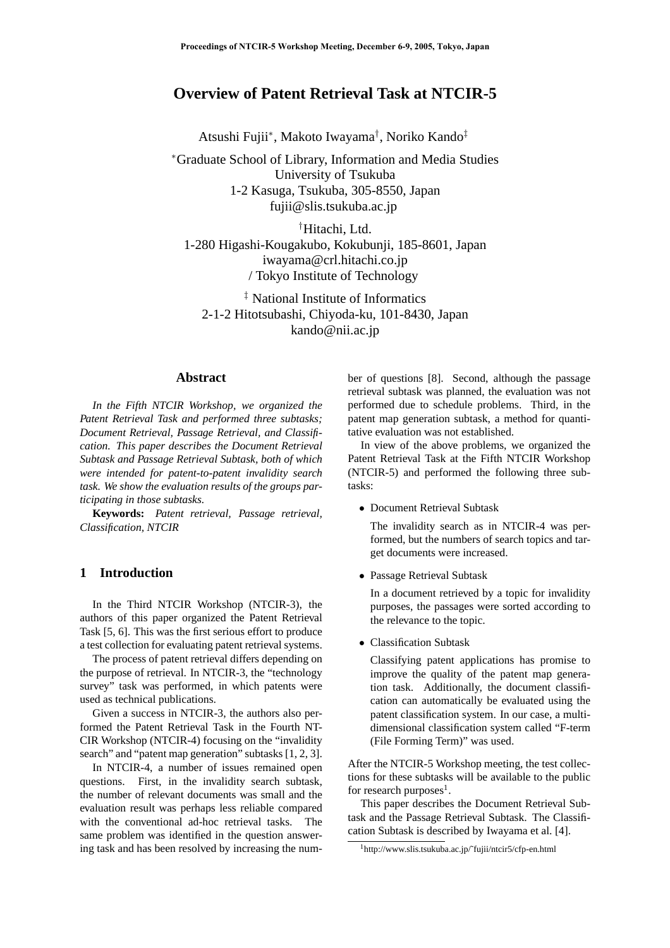# **Overview of Patent Retrieval Task at NTCIR-5**

Atsushi Fujii<sup>∗</sup> , Makoto Iwayama† , Noriko Kando‡

<sup>∗</sup>Graduate School of Library, Information and Media Studies University of Tsukuba 1-2 Kasuga, Tsukuba, 305-8550, Japan fujii@slis.tsukuba.ac.jp

†Hitachi, Ltd. 1-280 Higashi-Kougakubo, Kokubunji, 185-8601, Japan iwayama@crl.hitachi.co.jp / Tokyo Institute of Technology

‡ National Institute of Informatics 2-1-2 Hitotsubashi, Chiyoda-ku, 101-8430, Japan kando@nii.ac.jp

### **Abstract**

*In the Fifth NTCIR Workshop, we organized the Patent Retrieval Task and performed three subtasks; Document Retrieval, Passage Retrieval, and Classification. This paper describes the Document Retrieval Subtask and Passage Retrieval Subtask, both of which were intended for patent-to-patent invalidity search task. We show the evaluation results of the groups participating in those subtasks.*

**Keywords:** *Patent retrieval, Passage retrieval, Classification, NTCIR*

# **1 Introduction**

In the Third NTCIR Workshop (NTCIR-3), the authors of this paper organized the Patent Retrieval Task [5, 6]. This was the first serious effort to produce a test collection for evaluating patent retrieval systems.

The process of patent retrieval differs depending on the purpose of retrieval. In NTCIR-3, the "technology survey" task was performed, in which patents were used as technical publications.

Given a success in NTCIR-3, the authors also performed the Patent Retrieval Task in the Fourth NT-CIR Workshop (NTCIR-4) focusing on the "invalidity search" and "patent map generation" subtasks [1, 2, 3].

In NTCIR-4, a number of issues remained open questions. First, in the invalidity search subtask, the number of relevant documents was small and the evaluation result was perhaps less reliable compared with the conventional ad-hoc retrieval tasks. The same problem was identified in the question answering task and has been resolved by increasing the number of questions [8]. Second, although the passage retrieval subtask was planned, the evaluation was not performed due to schedule problems. Third, in the patent map generation subtask, a method for quantitative evaluation was not established.

In view of the above problems, we organized the Patent Retrieval Task at the Fifth NTCIR Workshop (NTCIR-5) and performed the following three subtasks:

• Document Retrieval Subtask

The invalidity search as in NTCIR-4 was performed, but the numbers of search topics and target documents were increased.

• Passage Retrieval Subtask

In a document retrieved by a topic for invalidity purposes, the passages were sorted according to the relevance to the topic.

• Classification Subtask

Classifying patent applications has promise to improve the quality of the patent map generation task. Additionally, the document classification can automatically be evaluated using the patent classification system. In our case, a multidimensional classification system called "F-term (File Forming Term)" was used.

After the NTCIR-5 Workshop meeting, the test collections for these subtasks will be available to the public for research purposes<sup>1</sup>.

This paper describes the Document Retrieval Subtask and the Passage Retrieval Subtask. The Classification Subtask is described by Iwayama et al. [4].

<sup>1</sup>http://www.slis.tsukuba.ac.jp/˜fujii/ntcir5/cfp-en.html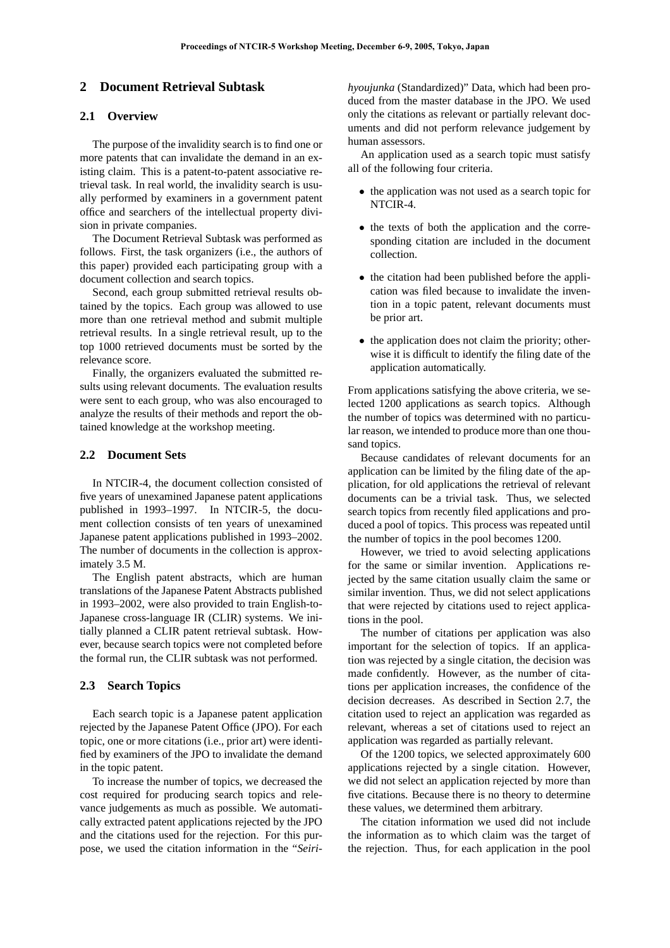# **2 Document Retrieval Subtask**

### **2.1 Overview**

The purpose of the invalidity search is to find one or more patents that can invalidate the demand in an existing claim. This is a patent-to-patent associative retrieval task. In real world, the invalidity search is usually performed by examiners in a government patent office and searchers of the intellectual property division in private companies.

The Document Retrieval Subtask was performed as follows. First, the task organizers (i.e., the authors of this paper) provided each participating group with a document collection and search topics.

Second, each group submitted retrieval results obtained by the topics. Each group was allowed to use more than one retrieval method and submit multiple retrieval results. In a single retrieval result, up to the top 1000 retrieved documents must be sorted by the relevance score.

Finally, the organizers evaluated the submitted results using relevant documents. The evaluation results were sent to each group, who was also encouraged to analyze the results of their methods and report the obtained knowledge at the workshop meeting.

### **2.2 Document Sets**

In NTCIR-4, the document collection consisted of five years of unexamined Japanese patent applications published in 1993–1997. In NTCIR-5, the document collection consists of ten years of unexamined Japanese patent applications published in 1993–2002. The number of documents in the collection is approximately 3.5 M.

The English patent abstracts, which are human translations of the Japanese Patent Abstracts published in 1993–2002, were also provided to train English-to-Japanese cross-language IR (CLIR) systems. We initially planned a CLIR patent retrieval subtask. However, because search topics were not completed before the formal run, the CLIR subtask was not performed.

### **2.3 Search Topics**

Each search topic is a Japanese patent application rejected by the Japanese Patent Office (JPO). For each topic, one or more citations (i.e., prior art) were identified by examiners of the JPO to invalidate the demand in the topic patent.

To increase the number of topics, we decreased the cost required for producing search topics and relevance judgements as much as possible. We automatically extracted patent applications rejected by the JPO and the citations used for the rejection. For this purpose, we used the citation information in the "*Seiri-* *hyoujunka* (Standardized)" Data, which had been produced from the master database in the JPO. We used only the citations as relevant or partially relevant documents and did not perform relevance judgement by human assessors.

An application used as a search topic must satisfy all of the following four criteria.

- the application was not used as a search topic for NTCIR-4.
- the texts of both the application and the corresponding citation are included in the document collection.
- the citation had been published before the application was filed because to invalidate the invention in a topic patent, relevant documents must be prior art.
- the application does not claim the priority; otherwise it is difficult to identify the filing date of the application automatically.

From applications satisfying the above criteria, we selected 1200 applications as search topics. Although the number of topics was determined with no particular reason, we intended to produce more than one thousand topics.

Because candidates of relevant documents for an application can be limited by the filing date of the application, for old applications the retrieval of relevant documents can be a trivial task. Thus, we selected search topics from recently filed applications and produced a pool of topics. This process was repeated until the number of topics in the pool becomes 1200.

However, we tried to avoid selecting applications for the same or similar invention. Applications rejected by the same citation usually claim the same or similar invention. Thus, we did not select applications that were rejected by citations used to reject applications in the pool.

The number of citations per application was also important for the selection of topics. If an application was rejected by a single citation, the decision was made confidently. However, as the number of citations per application increases, the confidence of the decision decreases. As described in Section 2.7, the citation used to reject an application was regarded as relevant, whereas a set of citations used to reject an application was regarded as partially relevant.

Of the 1200 topics, we selected approximately 600 applications rejected by a single citation. However, we did not select an application rejected by more than five citations. Because there is no theory to determine these values, we determined them arbitrary.

The citation information we used did not include the information as to which claim was the target of the rejection. Thus, for each application in the pool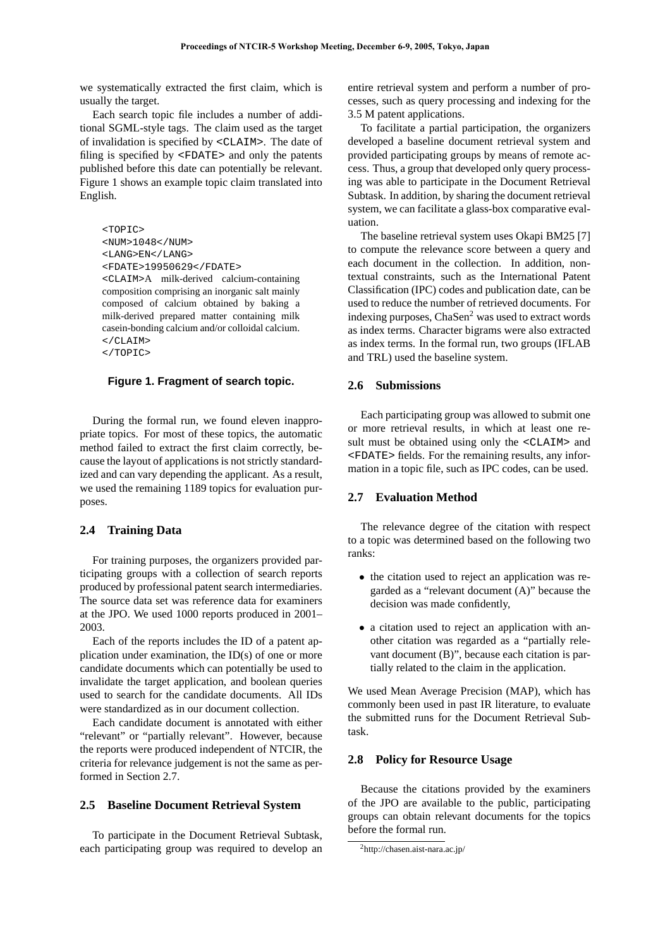we systematically extracted the first claim, which is usually the target.

Each search topic file includes a number of additional SGML-style tags. The claim used as the target of invalidation is specified by <CLAIM>. The date of filing is specified by <FDATE> and only the patents published before this date can potentially be relevant. Figure 1 shows an example topic claim translated into English.

```
<TOPIC>
<NUM>1048</NUM>
<LANG>EN</LANG>
<FDATE>19950629</FDATE>
<CLAIM>A milk-derived calcium-containing
composition comprising an inorganic salt mainly
composed of calcium obtained by baking a
milk-derived prepared matter containing milk
casein-bonding calcium and/or colloidal calcium.
\langle / CLAIM>
</TOPIC>
```
#### **Figure 1. Fragment of search topic.**

During the formal run, we found eleven inappropriate topics. For most of these topics, the automatic method failed to extract the first claim correctly, because the layout of applications is not strictly standardized and can vary depending the applicant. As a result, we used the remaining 1189 topics for evaluation purposes.

#### **2.4 Training Data**

For training purposes, the organizers provided participating groups with a collection of search reports produced by professional patent search intermediaries. The source data set was reference data for examiners at the JPO. We used 1000 reports produced in 2001– 2003.

Each of the reports includes the ID of a patent application under examination, the ID(s) of one or more candidate documents which can potentially be used to invalidate the target application, and boolean queries used to search for the candidate documents. All IDs were standardized as in our document collection.

Each candidate document is annotated with either "relevant" or "partially relevant". However, because the reports were produced independent of NTCIR, the criteria for relevance judgement is not the same as performed in Section 2.7.

### **2.5 Baseline Document Retrieval System**

To participate in the Document Retrieval Subtask, each participating group was required to develop an entire retrieval system and perform a number of processes, such as query processing and indexing for the 3.5 M patent applications.

To facilitate a partial participation, the organizers developed a baseline document retrieval system and provided participating groups by means of remote access. Thus, a group that developed only query processing was able to participate in the Document Retrieval Subtask. In addition, by sharing the document retrieval system, we can facilitate a glass-box comparative evaluation.

The baseline retrieval system uses Okapi BM25 [7] to compute the relevance score between a query and each document in the collection. In addition, nontextual constraints, such as the International Patent Classification (IPC) codes and publication date, can be used to reduce the number of retrieved documents. For indexing purposes, ChaSen<sup>2</sup> was used to extract words as index terms. Character bigrams were also extracted as index terms. In the formal run, two groups (IFLAB and TRL) used the baseline system.

#### **2.6 Submissions**

Each participating group was allowed to submit one or more retrieval results, in which at least one result must be obtained using only the  $\leq$ CLAIM> and <FDATE> fields. For the remaining results, any information in a topic file, such as IPC codes, can be used.

#### **2.7 Evaluation Method**

The relevance degree of the citation with respect to a topic was determined based on the following two ranks:

- the citation used to reject an application was regarded as a "relevant document (A)" because the decision was made confidently,
- a citation used to reject an application with another citation was regarded as a "partially relevant document (B)", because each citation is partially related to the claim in the application.

We used Mean Average Precision (MAP), which has commonly been used in past IR literature, to evaluate the submitted runs for the Document Retrieval Subtask.

#### **2.8 Policy for Resource Usage**

Because the citations provided by the examiners of the JPO are available to the public, participating groups can obtain relevant documents for the topics before the formal run.

<sup>2</sup>http://chasen.aist-nara.ac.jp/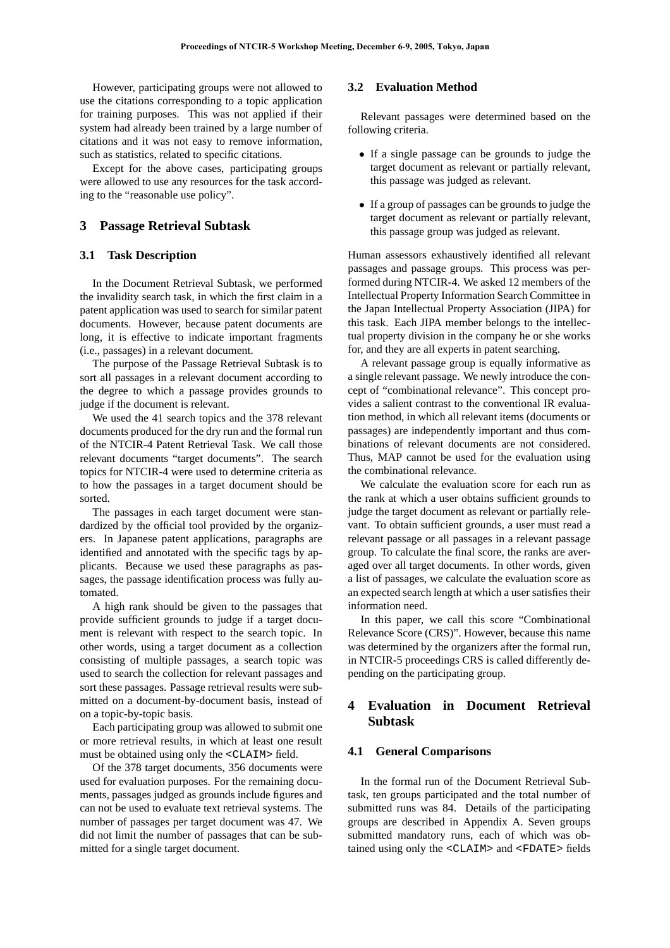However, participating groups were not allowed to use the citations corresponding to a topic application for training purposes. This was not applied if their system had already been trained by a large number of citations and it was not easy to remove information, such as statistics, related to specific citations.

Except for the above cases, participating groups were allowed to use any resources for the task according to the "reasonable use policy".

### **3 Passage Retrieval Subtask**

#### **3.1 Task Description**

In the Document Retrieval Subtask, we performed the invalidity search task, in which the first claim in a patent application was used to search for similar patent documents. However, because patent documents are long, it is effective to indicate important fragments (i.e., passages) in a relevant document.

The purpose of the Passage Retrieval Subtask is to sort all passages in a relevant document according to the degree to which a passage provides grounds to judge if the document is relevant.

We used the 41 search topics and the 378 relevant documents produced for the dry run and the formal run of the NTCIR-4 Patent Retrieval Task. We call those relevant documents "target documents". The search topics for NTCIR-4 were used to determine criteria as to how the passages in a target document should be sorted.

The passages in each target document were standardized by the official tool provided by the organizers. In Japanese patent applications, paragraphs are identified and annotated with the specific tags by applicants. Because we used these paragraphs as passages, the passage identification process was fully automated.

A high rank should be given to the passages that provide sufficient grounds to judge if a target document is relevant with respect to the search topic. In other words, using a target document as a collection consisting of multiple passages, a search topic was used to search the collection for relevant passages and sort these passages. Passage retrieval results were submitted on a document-by-document basis, instead of on a topic-by-topic basis.

Each participating group was allowed to submit one or more retrieval results, in which at least one result must be obtained using only the <CLAIM> field.

Of the 378 target documents, 356 documents were used for evaluation purposes. For the remaining documents, passages judged as grounds include figures and can not be used to evaluate text retrieval systems. The number of passages per target document was 47. We did not limit the number of passages that can be submitted for a single target document.

### **3.2 Evaluation Method**

Relevant passages were determined based on the following criteria.

- If a single passage can be grounds to judge the target document as relevant or partially relevant, this passage was judged as relevant.
- If a group of passages can be grounds to judge the target document as relevant or partially relevant, this passage group was judged as relevant.

Human assessors exhaustively identified all relevant passages and passage groups. This process was performed during NTCIR-4. We asked 12 members of the Intellectual Property Information Search Committee in the Japan Intellectual Property Association (JIPA) for this task. Each JIPA member belongs to the intellectual property division in the company he or she works for, and they are all experts in patent searching.

A relevant passage group is equally informative as a single relevant passage. We newly introduce the concept of "combinational relevance". This concept provides a salient contrast to the conventional IR evaluation method, in which all relevant items (documents or passages) are independently important and thus combinations of relevant documents are not considered. Thus, MAP cannot be used for the evaluation using the combinational relevance.

We calculate the evaluation score for each run as the rank at which a user obtains sufficient grounds to judge the target document as relevant or partially relevant. To obtain sufficient grounds, a user must read a relevant passage or all passages in a relevant passage group. To calculate the final score, the ranks are averaged over all target documents. In other words, given a list of passages, we calculate the evaluation score as an expected search length at which a user satisfies their information need.

In this paper, we call this score "Combinational Relevance Score (CRS)". However, because this name was determined by the organizers after the formal run, in NTCIR-5 proceedings CRS is called differently depending on the participating group.

# **4 Evaluation in Document Retrieval Subtask**

#### **4.1 General Comparisons**

In the formal run of the Document Retrieval Subtask, ten groups participated and the total number of submitted runs was 84. Details of the participating groups are described in Appendix A. Seven groups submitted mandatory runs, each of which was obtained using only the <CLAIM> and <FDATE> fields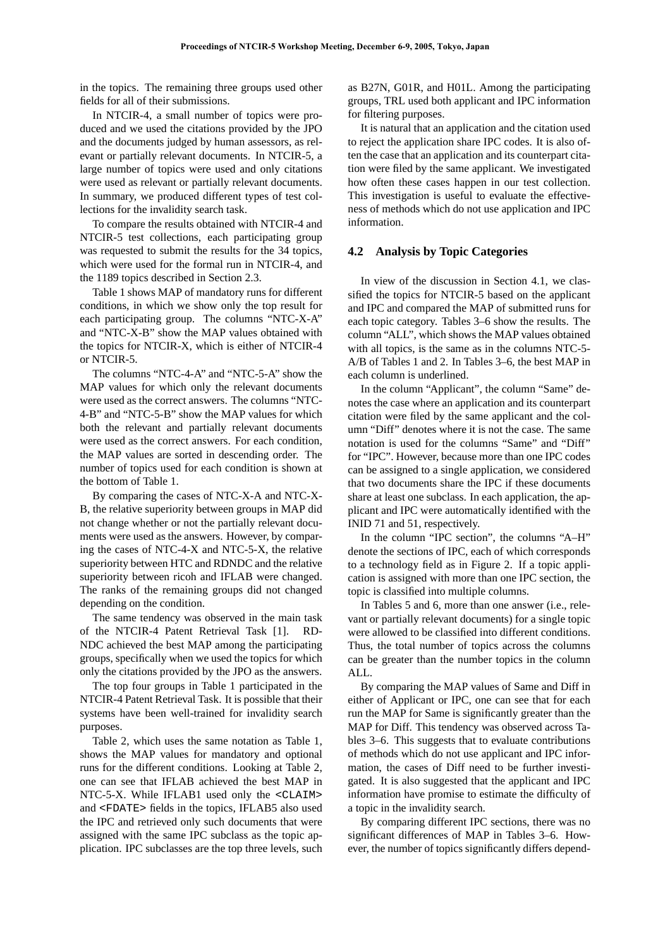in the topics. The remaining three groups used other fields for all of their submissions.

In NTCIR-4, a small number of topics were produced and we used the citations provided by the JPO and the documents judged by human assessors, as relevant or partially relevant documents. In NTCIR-5, a large number of topics were used and only citations were used as relevant or partially relevant documents. In summary, we produced different types of test collections for the invalidity search task.

To compare the results obtained with NTCIR-4 and NTCIR-5 test collections, each participating group was requested to submit the results for the 34 topics, which were used for the formal run in NTCIR-4, and the 1189 topics described in Section 2.3.

Table 1 shows MAP of mandatory runs for different conditions, in which we show only the top result for each participating group. The columns "NTC-X-A" and "NTC-X-B" show the MAP values obtained with the topics for NTCIR-X, which is either of NTCIR-4 or NTCIR-5.

The columns "NTC-4-A" and "NTC-5-A" show the MAP values for which only the relevant documents were used as the correct answers. The columns "NTC-4-B" and "NTC-5-B" show the MAP values for which both the relevant and partially relevant documents were used as the correct answers. For each condition, the MAP values are sorted in descending order. The number of topics used for each condition is shown at the bottom of Table 1.

By comparing the cases of NTC-X-A and NTC-X-B, the relative superiority between groups in MAP did not change whether or not the partially relevant documents were used as the answers. However, by comparing the cases of NTC-4-X and NTC-5-X, the relative superiority between HTC and RDNDC and the relative superiority between ricoh and IFLAB were changed. The ranks of the remaining groups did not changed depending on the condition.

The same tendency was observed in the main task of the NTCIR-4 Patent Retrieval Task [1]. RD-NDC achieved the best MAP among the participating groups, specifically when we used the topics for which only the citations provided by the JPO as the answers.

The top four groups in Table 1 participated in the NTCIR-4 Patent Retrieval Task. It is possible that their systems have been well-trained for invalidity search purposes.

Table 2, which uses the same notation as Table 1, shows the MAP values for mandatory and optional runs for the different conditions. Looking at Table 2, one can see that IFLAB achieved the best MAP in NTC-5-X. While IFLAB1 used only the <CLAIM> and <FDATE> fields in the topics, IFLAB5 also used the IPC and retrieved only such documents that were assigned with the same IPC subclass as the topic application. IPC subclasses are the top three levels, such as B27N, G01R, and H01L. Among the participating groups, TRL used both applicant and IPC information for filtering purposes.

It is natural that an application and the citation used to reject the application share IPC codes. It is also often the case that an application and its counterpart citation were filed by the same applicant. We investigated how often these cases happen in our test collection. This investigation is useful to evaluate the effectiveness of methods which do not use application and IPC information.

### **4.2 Analysis by Topic Categories**

In view of the discussion in Section 4.1, we classified the topics for NTCIR-5 based on the applicant and IPC and compared the MAP of submitted runs for each topic category. Tables 3–6 show the results. The column "ALL", which shows the MAP values obtained with all topics, is the same as in the columns NTC-5- A/B of Tables 1 and 2. In Tables 3–6, the best MAP in each column is underlined.

In the column "Applicant", the column "Same" denotes the case where an application and its counterpart citation were filed by the same applicant and the column "Diff" denotes where it is not the case. The same notation is used for the columns "Same" and "Diff" for "IPC". However, because more than one IPC codes can be assigned to a single application, we considered that two documents share the IPC if these documents share at least one subclass. In each application, the applicant and IPC were automatically identified with the INID 71 and 51, respectively.

In the column "IPC section", the columns "A–H" denote the sections of IPC, each of which corresponds to a technology field as in Figure 2. If a topic application is assigned with more than one IPC section, the topic is classified into multiple columns.

In Tables 5 and 6, more than one answer (i.e., relevant or partially relevant documents) for a single topic were allowed to be classified into different conditions. Thus, the total number of topics across the columns can be greater than the number topics in the column ALL.

By comparing the MAP values of Same and Diff in either of Applicant or IPC, one can see that for each run the MAP for Same is significantly greater than the MAP for Diff. This tendency was observed across Tables 3–6. This suggests that to evaluate contributions of methods which do not use applicant and IPC information, the cases of Diff need to be further investigated. It is also suggested that the applicant and IPC information have promise to estimate the difficulty of a topic in the invalidity search.

By comparing different IPC sections, there was no significant differences of MAP in Tables 3–6. However, the number of topics significantly differs depend-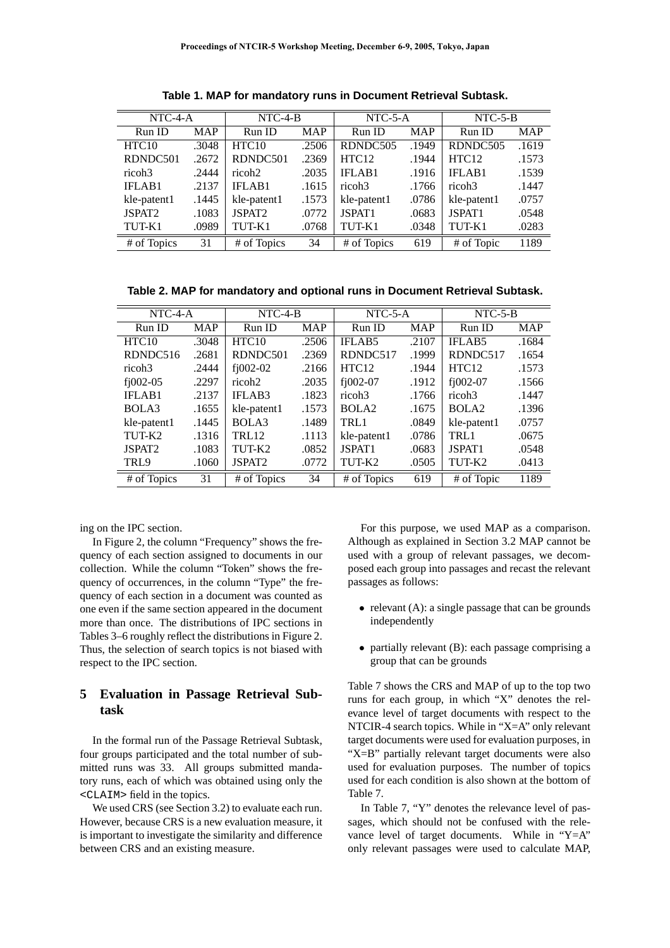| $NTC-4-A$          |            | $NTC-4-B$          |            | $NTC-5-A$         |            | $NTC-5-B$          |            |  |
|--------------------|------------|--------------------|------------|-------------------|------------|--------------------|------------|--|
| Run ID             | <b>MAP</b> | Run ID             | <b>MAP</b> | Run ID            | <b>MAP</b> | Run ID             | <b>MAP</b> |  |
| HTC10              | .3048      | HTC <sub>10</sub>  | .2506      | RDNDC505          | .1949      | RDNDC505           | .1619      |  |
| RDNDC501           | .2672      | RDNDC501           | .2369      | HTC <sub>12</sub> | .1944      | HTC12              | .1573      |  |
| ricoh3             | .2444      | ricoh <sub>2</sub> | .2035      | IFLAB1            | .1916      | <b>IFLAB1</b>      | .1539      |  |
| IFLAB1             | .2137      | <b>IFLAB1</b>      | .1615      | ricoh3            | .1766      | ricoh3             | .1447      |  |
| kle-patent1        | .1445      | kle-patent1        | .1573      | kle-patent1       | .0786      | kle-patent1        | .0757      |  |
| JSPAT <sub>2</sub> | .1083      | JSPAT <sub>2</sub> | .0772      | JSPAT1            | .0683      | JSPAT <sub>1</sub> | .0548      |  |
| TUT-K1             | .0989      | TUT-K1             | .0768      | TUT-K1            | .0348      | TUT-K1             | .0283      |  |
| # of Topics        | 31         | # of Topics        | 34         | # of Topics       | 619        | # of Topic         | 1189       |  |

**Table 1. MAP for mandatory runs in Document Retrieval Subtask.**

**Table 2. MAP for mandatory and optional runs in Document Retrieval Subtask.**

| NTC-4-A            |            | $NTC-4-B$          |            | $NTC-5-A$          |            | $NTC-5-B$          |            |  |
|--------------------|------------|--------------------|------------|--------------------|------------|--------------------|------------|--|
| Run ID             | <b>MAP</b> | Run ID             | <b>MAP</b> | Run ID             | <b>MAP</b> | Run ID             | <b>MAP</b> |  |
| HTC10              | .3048      | HTC <sub>10</sub>  | .2506      | <b>IFLAB5</b>      | .2107      | <b>IFLAB5</b>      | .1684      |  |
| RDNDC516           | .2681      | RDNDC501           | .2369      | RDNDC517           | .1999      | RDNDC517           | .1654      |  |
| ricoh3             | .2444      | $f$ $1002-02$      | .2166      | HTC <sub>12</sub>  | .1944      | HTC <sub>12</sub>  | .1573      |  |
| $f$ j002-05        | .2297      | ricoh <sub>2</sub> | .2035      | $f$ $1002-07$      | .1912      | $f$ $1002-07$      | .1566      |  |
| <b>IFLAB1</b>      | .2137      | <b>IFLAB3</b>      | .1823      | ricoh <sub>3</sub> | .1766      | ricoh <sub>3</sub> | .1447      |  |
| BOLA3              | .1655      | kle-patent1        | .1573      | BOLA <sub>2</sub>  | .1675      | BOLA <sub>2</sub>  | .1396      |  |
| kle-patent1        | .1445      | BOLA3              | .1489      | TRL1               | .0849      | kle-patent1        | .0757      |  |
| TUT-K2             | .1316      | TRL12              | .1113      | kle-patent1        | .0786      | TRL1               | .0675      |  |
| JSPAT <sub>2</sub> | .1083      | TUT-K2             | .0852      | JSPAT1             | .0683      | JSPAT1             | .0548      |  |
| TRL9               | .1060      | JSPAT <sub>2</sub> | .0772      | TUT-K2             | .0505      | TUT-K2             | .0413      |  |
| # of Topics        | 31         | # of Topics        | 34         | # of Topics        | 619        | # of Topic         | 1189       |  |

ing on the IPC section.

In Figure 2, the column "Frequency" shows the frequency of each section assigned to documents in our collection. While the column "Token" shows the frequency of occurrences, in the column "Type" the frequency of each section in a document was counted as one even if the same section appeared in the document more than once. The distributions of IPC sections in Tables 3–6 roughly reflect the distributions in Figure 2. Thus, the selection of search topics is not biased with respect to the IPC section.

# **5 Evaluation in Passage Retrieval Subtask**

In the formal run of the Passage Retrieval Subtask, four groups participated and the total number of submitted runs was 33. All groups submitted mandatory runs, each of which was obtained using only the <CLAIM> field in the topics.

We used CRS (see Section 3.2) to evaluate each run. However, because CRS is a new evaluation measure, it is important to investigate the similarity and difference between CRS and an existing measure.

For this purpose, we used MAP as a comparison. Although as explained in Section 3.2 MAP cannot be used with a group of relevant passages, we decomposed each group into passages and recast the relevant passages as follows:

- relevant (A): a single passage that can be grounds independently
- partially relevant (B): each passage comprising a group that can be grounds

Table 7 shows the CRS and MAP of up to the top two runs for each group, in which "X" denotes the relevance level of target documents with respect to the NTCIR-4 search topics. While in "X=A" only relevant target documents were used for evaluation purposes, in "X=B" partially relevant target documents were also used for evaluation purposes. The number of topics used for each condition is also shown at the bottom of Table 7.

In Table 7, "Y" denotes the relevance level of passages, which should not be confused with the relevance level of target documents. While in "Y=A" only relevant passages were used to calculate MAP,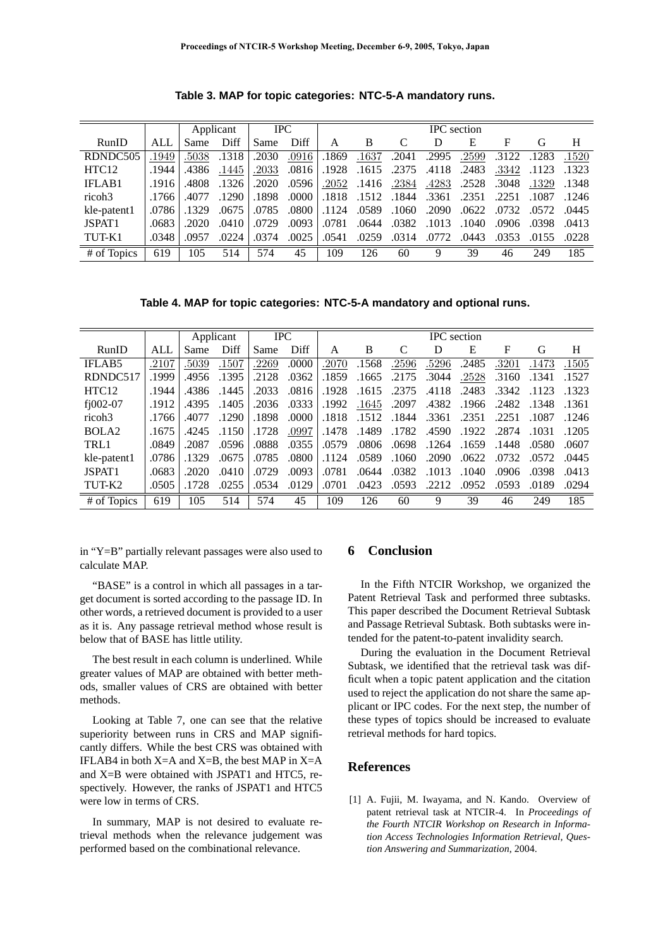|                    |       |       | Applicant | <b>IPC</b> |       | <b>IPC</b> section |            |       |       |       |       |       |       |
|--------------------|-------|-------|-----------|------------|-------|--------------------|------------|-------|-------|-------|-------|-------|-------|
| RunID              | ALL   | Same  | Diff      | Same       | Diff  | A                  | В          |       | D     | E     | F     | G     | Н     |
| RDNDC505           | 1949  | .5038 | .1318     | .2030      | .0916 | .1869              | .1637      | .2041 | .2995 | .2599 | .3122 | .1283 | .1520 |
| HTC12              | .1944 | .4386 | .1445     | .2033      | .0816 | .1928              | .1615      | .2375 | .4118 | .2483 | .3342 | .1123 | .1323 |
| IFLAB1             | .1916 | .4808 | .1326     | .2020      | .0596 | .2052              | .1416      | .2384 | .4283 | .2528 | .3048 | .1329 | .1348 |
| ricoh <sub>3</sub> | .1766 | .4077 | .1290     | .1898      | .0000 | .1818              | .1512.1844 |       | .3361 | .2351 | .2251 | .1087 | .1246 |
| kle-patent1        | .0786 | .1329 | .0675     | .0785      | .0800 | .1124              | .0589      | .1060 | .2090 | .0622 | .0732 | .0572 | .0445 |
| JSPAT <sub>1</sub> | .0683 | .2020 | .0410     | .0729      | .0093 | .0781              | .0644      | .0382 | .1013 | .1040 | .0906 | .0398 | .0413 |
| TUT-K1             | .0348 | .0957 | .0224     | .0374      | .0025 | .0541              | .0259      | .0314 | .0772 | .0443 | .0353 | .0155 | .0228 |
| # of Topics        | 619   | 105   | 514       | 574        | 45    | 109                | 126        | 60    | 9     | 39    | 46    | 249   | 185   |

**Table 3. MAP for topic categories: NTC-5-A mandatory runs.**

**Table 4. MAP for topic categories: NTC-5-A mandatory and optional runs.**

|                    |       |       | Applicant |       | <b>IPC</b> | <b>IPC</b> section |       |       |       |       |       |       |       |
|--------------------|-------|-------|-----------|-------|------------|--------------------|-------|-------|-------|-------|-------|-------|-------|
| RunID              | ALL   | Same  | Diff      | Same  | Diff       | A                  | B     |       | D     | Е     | F     | G     | Н     |
| <b>IFLAB5</b>      | .2107 | .5039 | .1507     | .2269 | .0000      | .2070              | .1568 | .2596 | .5296 | .2485 | .3201 | .1473 | .1505 |
| RDNDC517           | .1999 | .4956 | .1395     | .2128 | .0362      | .1859              | .1665 | .2175 | .3044 | .2528 | .3160 | .1341 | .1527 |
| HTC <sub>12</sub>  | .1944 | .4386 | .1445     | .2033 | .0816      | .1928              | .1615 | .2375 | .4118 | .2483 | .3342 | .1123 | .1323 |
| $f$ j002-07        | .1912 | .4395 | .1405     | .2036 | .0333      | .1992              | .1645 | .2097 | .4382 | .1966 | .2482 | .1348 | .1361 |
| ricoh <sub>3</sub> | .1766 | .4077 | .1290     | .1898 | .0000      | .1818              | .1512 | .1844 | .3361 | .2351 | .2251 | .1087 | .1246 |
| BOLA <sub>2</sub>  | .1675 | .4245 | .1150     | .1728 | .0997      | .1478              | .1489 | .1782 | .4590 | .1922 | .2874 | .1031 | .1205 |
| TRL1               | .0849 | .2087 | .0596     | .0888 | .0355      | .0579              | .0806 | .0698 | .1264 | .1659 | .1448 | .0580 | .0607 |
| kle-patent1        | .0786 | .1329 | .0675     | .0785 | .0800      | .1124              | .0589 | .1060 | .2090 | .0622 | .0732 | .0572 | .0445 |
| JSPAT1             | .0683 | .2020 | .0410     | .0729 | .0093      | .0781              | .0644 | .0382 | .1013 | .1040 | .0906 | .0398 | .0413 |
| TUT-K2             | .0505 | .1728 | .0255     | .0534 | .0129      | .0701              | .0423 | .0593 | .2212 | .0952 | .0593 | .0189 | .0294 |
| # of Topics        | 619   | 105   | 514       | 574   | 45         | 109                | 126   | 60    | 9     | 39    | 46    | 249   | 185   |

in "Y=B" partially relevant passages were also used to calculate MAP.

"BASE" is a control in which all passages in a target document is sorted according to the passage ID. In other words, a retrieved document is provided to a user as it is. Any passage retrieval method whose result is below that of BASE has little utility.

The best result in each column is underlined. While greater values of MAP are obtained with better methods, smaller values of CRS are obtained with better methods.

Looking at Table 7, one can see that the relative superiority between runs in CRS and MAP significantly differs. While the best CRS was obtained with IFLAB4 in both  $X=A$  and  $X=B$ , the best MAP in  $X=A$ and X=B were obtained with JSPAT1 and HTC5, respectively. However, the ranks of JSPAT1 and HTC5 were low in terms of CRS.

In summary, MAP is not desired to evaluate retrieval methods when the relevance judgement was performed based on the combinational relevance.

# **6 Conclusion**

In the Fifth NTCIR Workshop, we organized the Patent Retrieval Task and performed three subtasks. This paper described the Document Retrieval Subtask and Passage Retrieval Subtask. Both subtasks were intended for the patent-to-patent invalidity search.

During the evaluation in the Document Retrieval Subtask, we identified that the retrieval task was difficult when a topic patent application and the citation used to reject the application do not share the same applicant or IPC codes. For the next step, the number of these types of topics should be increased to evaluate retrieval methods for hard topics.

### **References**

[1] A. Fujii, M. Iwayama, and N. Kando. Overview of patent retrieval task at NTCIR-4. In *Proceedings of the Fourth NTCIR Workshop on Research in Information Access Technologies Information Retrieval, Question Answering and Summarization*, 2004.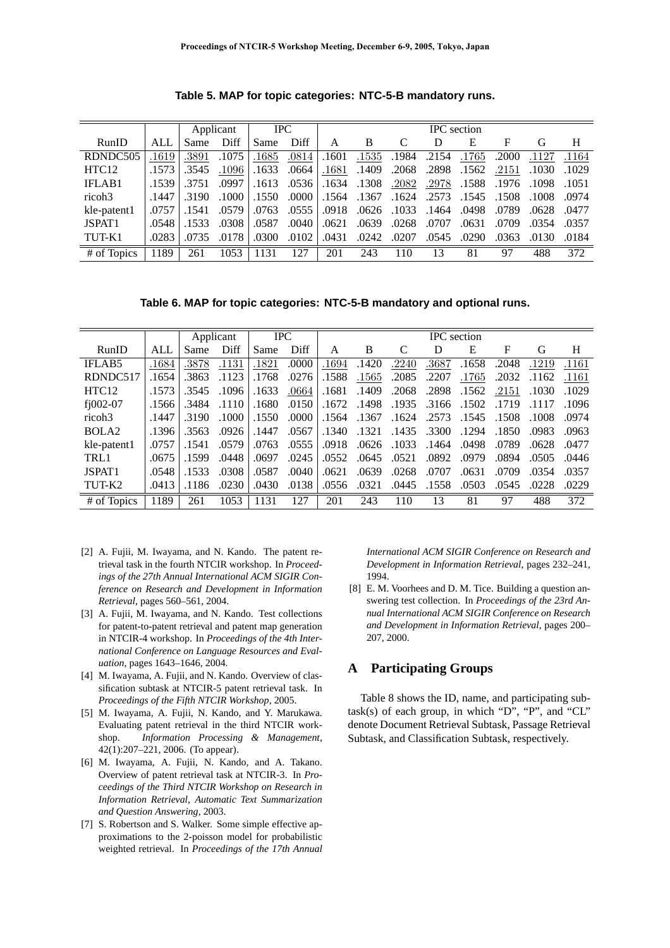|                    |       |       | Applicant | <b>IPC</b> |       | <b>IPC</b> section |       |       |       |       |       |       |       |
|--------------------|-------|-------|-----------|------------|-------|--------------------|-------|-------|-------|-------|-------|-------|-------|
| RunID              | ALL   | Same  | Diff      | Same       | Diff  | A                  | B     |       | D     | Е     | F     | G     | Н     |
| RDNDC505           | 1619  | .3891 | .1075     | .1685      | .0814 | .1601              | .1535 | .1984 | .2154 | .1765 | .2000 | .1127 | .1164 |
| HTC12              | .1573 | .3545 | .1096     | .1633      | .0664 | .1681              | .1409 | .2068 | .2898 | .1562 | .2151 | .1030 | .1029 |
| <b>IFLAB1</b>      | .1539 | .3751 | .0997     | .1613      | .0536 | .1634              | .1308 | .2082 | .2978 | .1588 | .1976 | .1098 | .1051 |
| ricoh <sub>3</sub> | .1447 | .3190 | .1000     | .1550      | .0000 | .1564              | .1367 | .1624 | .2573 | .1545 | .1508 | .1008 | .0974 |
| kle-patent1        | .0757 | .1541 | .0579     | .0763      | .0555 | .0918              | .0626 | .1033 | .1464 | .0498 | .0789 | .0628 | .0477 |
| JSPAT <sub>1</sub> | .0548 | .1533 | .0308     | .0587      | .0040 | .0621              | .0639 | .0268 | .0707 | .0631 | .0709 | .0354 | .0357 |
| TUT-K1             | .0283 | .0735 | .0178     | .0300      | .0102 | .0431              | .0242 | .0207 | .0545 | .0290 | .0363 | .0130 | .0184 |
| # of Topics        | 1189  | 261   | 1053      | 1131       | 127   | 201                | 243   | 110   | 13    | 81    | 97    | 488   | 372   |

**Table 5. MAP for topic categories: NTC-5-B mandatory runs.**

**Table 6. MAP for topic categories: NTC-5-B mandatory and optional runs.**

|                    |       |       | Applicant | <b>IPC</b> |       | <b>IPC</b> section |       |       |       |       |       |       |       |
|--------------------|-------|-------|-----------|------------|-------|--------------------|-------|-------|-------|-------|-------|-------|-------|
| RunID              | ALL   | Same  | Diff      | Same       | Diff  | A                  | B     | C     | D     | E     | F     | G     | H     |
| <b>IFLAB5</b>      | .1684 | .3878 | .1131     | .1821      | .0000 | .1694              | .1420 | .2240 | .3687 | .1658 | .2048 | .1219 | .1161 |
| RDNDC517           | .1654 | .3863 | .1123     | .1768      | .0276 | .1588              | .1565 | .2085 | .2207 | .1765 | .2032 | .1162 | .1161 |
| HTC12              | .1573 | .3545 | .1096     | .1633      | .0664 | .1681              | .1409 | .2068 | .2898 | .1562 | .2151 | .1030 | .1029 |
| $f$ $1002-07$      | .1566 | .3484 | .1110     | .1680      | .0150 | .1672              | .1498 | .1935 | .3166 | .1502 | .1719 | .1117 | .1096 |
| ricoh <sub>3</sub> | .1447 | .3190 | .1000     | .1550      | .0000 | .1564              | .1367 | .1624 | .2573 | .1545 | .1508 | .1008 | .0974 |
| BOLA <sub>2</sub>  | .1396 | .3563 | .0926     | .1447      | .0567 | .1340              | .1321 | .1435 | .3300 | .1294 | .1850 | .0983 | .0963 |
| kle-patent1        | .0757 | .1541 | .0579     | .0763      | .0555 | .0918              | .0626 | .1033 | .1464 | .0498 | .0789 | .0628 | .0477 |
| TRL1               | .0675 | .1599 | .0448     | .0697      | .0245 | .0552              | .0645 | .0521 | .0892 | .0979 | .0894 | .0505 | .0446 |
| JSPAT1             | .0548 | .1533 | .0308     | .0587      | .0040 | .0621              | .0639 | .0268 | .0707 | .0631 | .0709 | .0354 | .0357 |
| TUT-K2             | .0413 | .1186 | .0230     | .0430      | .0138 | .0556              | .0321 | .0445 | .1558 | .0503 | .0545 | .0228 | .0229 |
| # of Topics        | 1189  | 261   | 1053      | 1131       | 127   | 201                | 243   | 110   | 13    | 81    | 97    | 488   | 372   |

- [2] A. Fujii, M. Iwayama, and N. Kando. The patent retrieval task in the fourth NTCIR workshop. In *Proceedings of the 27th Annual International ACM SIGIR Conference on Research and Development in Information Retrieval*, pages 560–561, 2004.
- [3] A. Fujii, M. Iwayama, and N. Kando. Test collections for patent-to-patent retrieval and patent map generation in NTCIR-4 workshop. In *Proceedings of the 4th International Conference on Language Resources and Evaluation*, pages 1643–1646, 2004.
- [4] M. Iwayama, A. Fujii, and N. Kando. Overview of classification subtask at NTCIR-5 patent retrieval task. In *Proceedings of the Fifth NTCIR Workshop*, 2005.
- [5] M. Iwayama, A. Fujii, N. Kando, and Y. Marukawa. Evaluating patent retrieval in the third NTCIR workshop. *Information Processing & Management*, 42(1):207–221, 2006. (To appear).
- [6] M. Iwayama, A. Fujii, N. Kando, and A. Takano. Overview of patent retrieval task at NTCIR-3. In *Proceedings of the Third NTCIR Workshop on Research in Information Retrieval, Automatic Text Summarization and Question Answering*, 2003.
- [7] S. Robertson and S. Walker. Some simple effective approximations to the 2-poisson model for probabilistic weighted retrieval. In *Proceedings of the 17th Annual*

*International ACM SIGIR Conference on Research and Development in Information Retrieval*, pages 232–241, 1994.

[8] E. M. Voorhees and D. M. Tice. Building a question answering test collection. In *Proceedings of the 23rd Annual International ACM SIGIR Conference on Research and Development in Information Retrieval*, pages 200– 207, 2000.

# **A Participating Groups**

Table 8 shows the ID, name, and participating sub $task(s)$  of each group, in which "D", "P", and "CL" denote Document Retrieval Subtask, Passage Retrieval Subtask, and Classification Subtask, respectively.